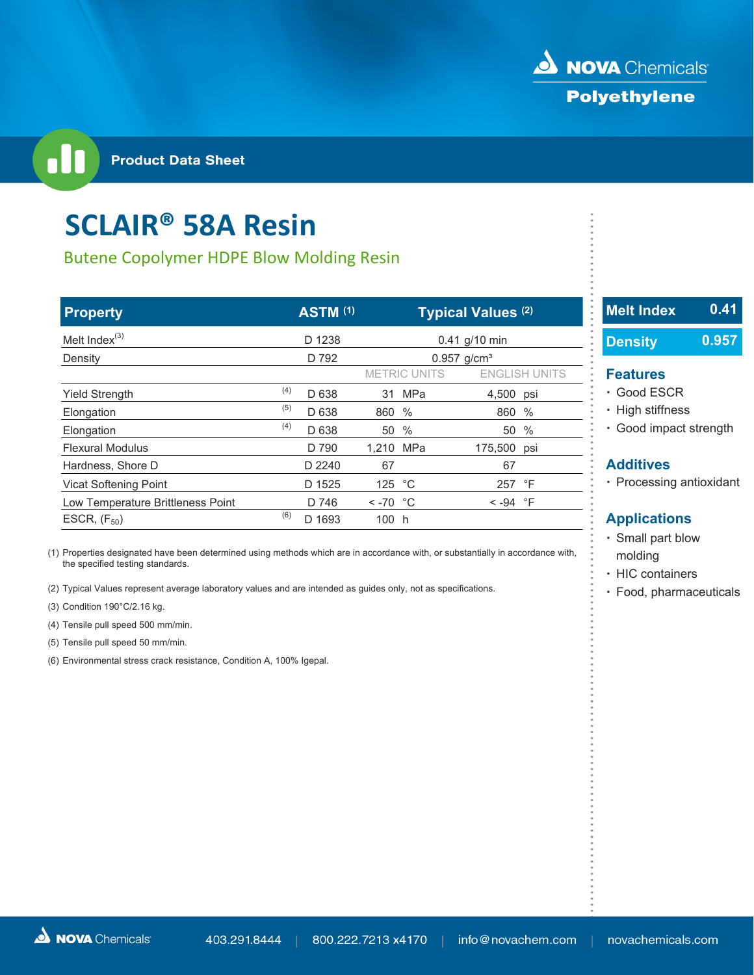

# **SCLAIR® 58A Resin**

## Butene Copolymer HDPE Blow Molding Resin

| <b>Property</b>                   |     | <b>ASTM (1)</b> |                        |                           | <b>Typical Values (2)</b> |                      | 16 | <b>Melt Index</b>       | 0.41  |
|-----------------------------------|-----|-----------------|------------------------|---------------------------|---------------------------|----------------------|----|-------------------------|-------|
| Melt Index $(3)$                  |     | D 1238          |                        |                           | 0.41 g/10 min             |                      |    | <b>Density</b>          | 0.957 |
| Density                           |     | D 792           |                        | $0.957$ g/cm <sup>3</sup> |                           |                      |    |                         |       |
|                                   |     |                 |                        | <b>METRIC UNITS</b>       |                           | <b>ENGLISH UNITS</b> |    | <b>Features</b>         |       |
| <b>Yield Strength</b>             | (4) | D 638           | 31                     | MPa                       | 4,500 psi                 |                      |    | · Good ESCR             |       |
| Elongation                        | (5) | D 638           | 860 %                  |                           | 860 %                     |                      |    | · High stiffness        |       |
| Elongation                        | (4) | D 638           | 50 %                   |                           |                           | 50 %                 |    | Good impact strength    |       |
| <b>Flexural Modulus</b>           |     | D 790           | 1.210 MPa              |                           | 175,500 psi               |                      |    |                         |       |
| Hardness, Shore D                 |     | D 2240          | 67                     |                           | 67                        |                      |    | <b>Additives</b>        |       |
| <b>Vicat Softening Point</b>      |     | D 1525          | 125 °C                 |                           | 257 °F                    |                      |    | • Processing antioxidan |       |
| Low Temperature Brittleness Point |     | D 746           | $\leq$ -70 $\degree$ C |                           | $< -94$ °F                |                      |    |                         |       |
| ESCR, $(F_{50})$                  | (6) | D 1693          | 100 h                  |                           |                           |                      |    | <b>Applications</b>     |       |

(1) Properties designated have been determined using methods which are in accordance with, or substantially in accordance with, which in a molding the specified testing standards.

(2) Typical Values represent average laboratory values and are intended as guides only, not as specifications.<br> **a Food, pharmaceuticals** 

(3) Condition 190°C/2.16 kg.

(4) Tensile pull speed 500 mm/min.

(5) Tensile pull speed 50 mm/min.

(6) Environmental stress crack resistance, Condition A, 100% Igepal.

# **Melt Index Density 0.957**

## **Features**

- 
- **· High stiffness**
- Elongation(5) (4) D 638 50 % 50 % **ꞏ** Good impact strength

### **Applications**

- **ꞏ** Small part blow
- **ꞏ** HIC containers
-